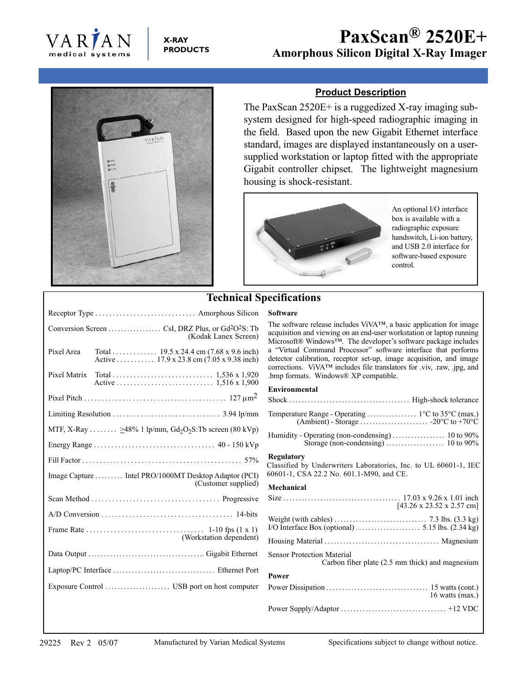

## **X-RAY PRODUCTS**



## **Product Description**

The PaxScan 2520E+ is a ruggedized X-ray imaging subsystem designed for high-speed radiographic imaging in the field. Based upon the new Gigabit Ethernet interface standard, images are displayed instantaneously on a usersupplied workstation or laptop fitted with the appropriate Gigabit controller chipset. The lightweight magnesium housing is shock-resistant.



An optional I/O interface box is available with a radiographic exposure handswitch, Li-ion battery, and USB 2.0 interface for software-based exposure control.

|                                                                                     |                                                                                                                  | <b>Technical Specifications</b>                            |
|-------------------------------------------------------------------------------------|------------------------------------------------------------------------------------------------------------------|------------------------------------------------------------|
| Receptor Type  Amorphous Silicon                                                    |                                                                                                                  | <b>Software</b>                                            |
| (Kodak Lanex Screen)                                                                |                                                                                                                  | The software rele<br>acquisition and vi<br>Microsoft® Wind |
| Pixel Area                                                                          | Total 19.5 x 24.4 cm $(7.68 \times 9.6 \text{ inch})$<br>Active 17.9 x 23.8 cm $(7.05 \times 9.38 \text{ inch})$ | a "Virtual Comr<br>detector calibrati<br>corrections. ViV. |
| Pixel Matrix                                                                        |                                                                                                                  | .bmp formats. W                                            |
|                                                                                     |                                                                                                                  | Environmental<br>$Shock$                                   |
|                                                                                     |                                                                                                                  | Temperature Ran<br>(Ambie                                  |
| MTF, X-Ray $\geq 48\%$ 1 lp/mm, Gd <sub>2</sub> O <sub>2</sub> S:Tb screen (80 kVp) |                                                                                                                  | Humidity - Opera<br>Stora                                  |
|                                                                                     |                                                                                                                  |                                                            |
| Image Capture  Intel PRO/1000MT Desktop Adaptor (PCI)<br>(Customer supplied)        |                                                                                                                  | Regulatory<br>Classified by Un<br>60601-1, CSA 22          |
|                                                                                     |                                                                                                                  | Mechanical                                                 |
|                                                                                     |                                                                                                                  | $Size \ldots \ldots \ldots$                                |
|                                                                                     |                                                                                                                  | Weight (with cab                                           |
|                                                                                     |                                                                                                                  | I/O Interface Box                                          |
|                                                                                     | (Workstation dependent)                                                                                          | Housing Materia                                            |
|                                                                                     |                                                                                                                  | Sensor Protection                                          |
|                                                                                     |                                                                                                                  | <b>Power</b>                                               |
|                                                                                     |                                                                                                                  | Power Dissipatio                                           |
|                                                                                     |                                                                                                                  | $n \alpha + 1/k$                                           |

# ecifications

The software release includes ViVA™, a basic application for image acquisition and viewing on an end-user workstation or laptop running Microsoft® Windows™. The developer's software package includes a "Virtual Command Processor" software interface that performs detector calibration, receptor set-up, image acquisition, and image corrections. ViVA™ includes file translators for .viv, .raw, .jpg, and .bmp formats. Windows® XP compatible.

### Environmental

| <b>Regulatory</b><br>Classified by Underwriters Laboratories, Inc. to UL 60601-1, IEC<br>60601-1, CSA 22.2 No. 601.1-M90, and CE. |                   |
|-----------------------------------------------------------------------------------------------------------------------------------|-------------------|
| Mechanical                                                                                                                        |                   |
| $[43.26 \times 23.52 \times 2.57$ cm]                                                                                             |                   |
| Weight (with cables) $\dots \dots \dots \dots \dots \dots \dots \dots$ 7.3 lbs. $(3.3 \text{ kg})$                                |                   |
|                                                                                                                                   |                   |
| <b>Sensor Protection Material</b><br>Carbon fiber plate (2.5 mm thick) and magnesium                                              |                   |
| Power                                                                                                                             |                   |
|                                                                                                                                   | 16 watts $(max.)$ |
|                                                                                                                                   |                   |